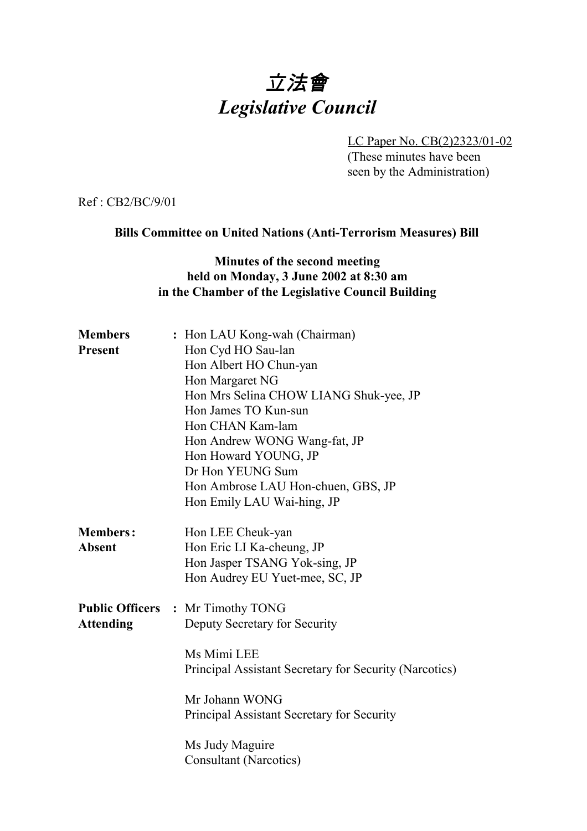# 立法會 *Legislative Council*

LC Paper No. CB(2)2323/01-02 (These minutes have been seen by the Administration)

Ref : CB2/BC/9/01

### **Bills Committee on United Nations (Anti-Terrorism Measures) Bill**

## **Minutes of the second meeting held on Monday, 3 June 2002 at 8:30 am in the Chamber of the Legislative Council Building**

| <b>Members</b>   | : Hon LAU Kong-wah (Chairman)                          |
|------------------|--------------------------------------------------------|
| <b>Present</b>   | Hon Cyd HO Sau-lan                                     |
|                  | Hon Albert HO Chun-yan                                 |
|                  | Hon Margaret NG                                        |
|                  | Hon Mrs Selina CHOW LIANG Shuk-yee, JP                 |
|                  | Hon James TO Kun-sun                                   |
|                  | Hon CHAN Kam-lam                                       |
|                  | Hon Andrew WONG Wang-fat, JP                           |
|                  | Hon Howard YOUNG, JP                                   |
|                  | Dr Hon YEUNG Sum                                       |
|                  | Hon Ambrose LAU Hon-chuen, GBS, JP                     |
|                  | Hon Emily LAU Wai-hing, JP                             |
| <b>Members:</b>  | Hon LEE Cheuk-yan                                      |
| <b>Absent</b>    | Hon Eric LI Ka-cheung, JP                              |
|                  | Hon Jasper TSANG Yok-sing, JP                          |
|                  | Hon Audrey EU Yuet-mee, SC, JP                         |
|                  | <b>Public Officers : Mr Timothy TONG</b>               |
| <b>Attending</b> | Deputy Secretary for Security                          |
|                  | Ms Mimi LEE                                            |
|                  | Principal Assistant Secretary for Security (Narcotics) |
|                  | Mr Johann WONG                                         |
|                  | Principal Assistant Secretary for Security             |
|                  | Ms Judy Maguire                                        |
|                  | <b>Consultant (Narcotics)</b>                          |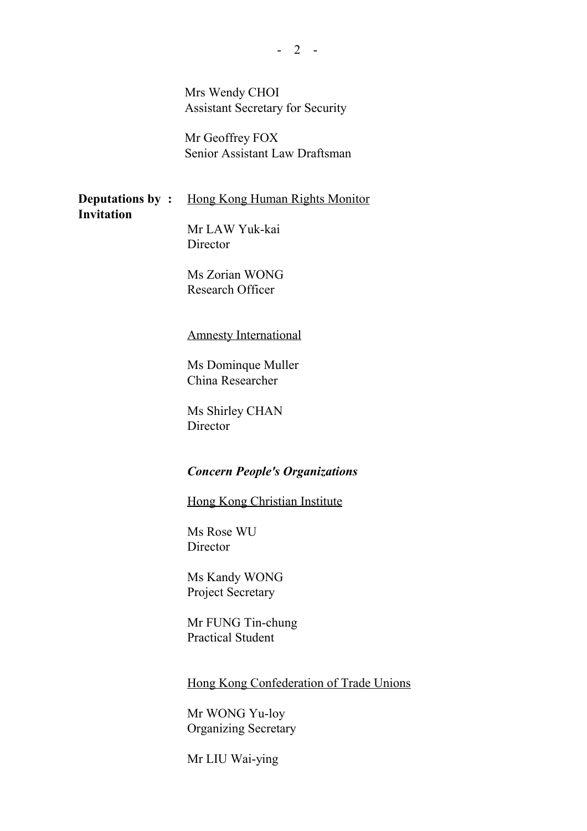Mrs Wendy CHOI Assistant Secretary for Security

Mr Geoffrey FOX Senior Assistant Law Draftsman

**Deputations by :** Hong Kong Human Rights Monitor **Invitation**

Mr LAW Yuk-kai **Director** 

Ms Zorian WONG Research Officer

#### Amnesty International

Ms Dominque Muller China Researcher

Ms Shirley CHAN Director

## *Concern People's Organizations*

Hong Kong Christian Institute

Ms Rose WU Director

Ms Kandy WONG Project Secretary

Mr FUNG Tin-chung Practical Student

Hong Kong Confederation of Trade Unions

Mr WONG Yu-loy Organizing Secretary

Mr LIU Wai-ying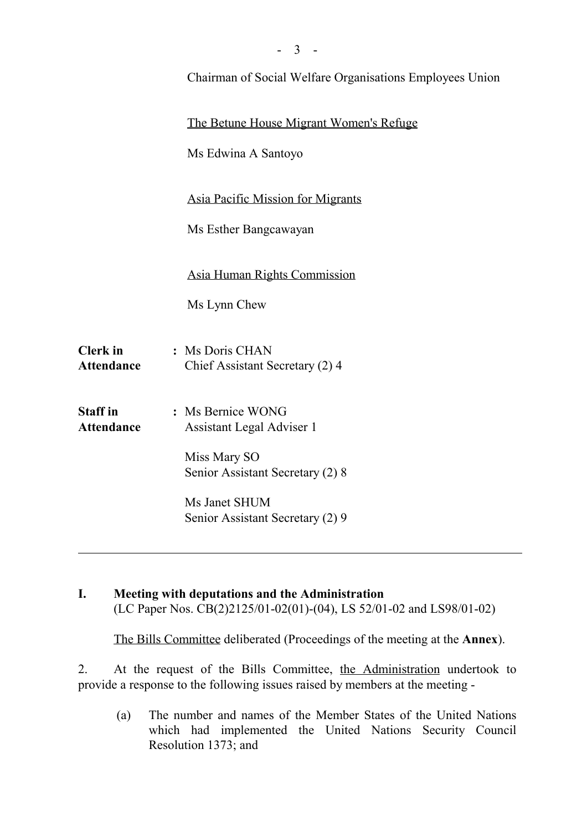|                                      | Chairman of Social Welfare Organisations Employees Union |
|--------------------------------------|----------------------------------------------------------|
|                                      | The Betune House Migrant Women's Refuge                  |
|                                      | Ms Edwina A Santoyo                                      |
|                                      | <b>Asia Pacific Mission for Migrants</b>                 |
|                                      | Ms Esther Bangcawayan                                    |
|                                      | Asia Human Rights Commission                             |
|                                      | Ms Lynn Chew                                             |
| <b>Clerk</b> in<br><b>Attendance</b> | : Ms Doris CHAN<br>Chief Assistant Secretary (2) 4       |
| <b>Staff in</b><br><b>Attendance</b> | : Ms Bernice WONG<br>Assistant Legal Adviser 1           |
|                                      | Miss Mary SO<br>Senior Assistant Secretary (2) 8         |
|                                      | Ms Janet SHUM<br>Senior Assistant Secretary (2) 9        |

 $-3 -$ 

**I. Meeting with deputations and the Administration** (LC Paper Nos. CB(2)2125/01-02(01)-(04), LS 52/01-02 and LS98/01-02)

The Bills Committee deliberated (Proceedings of the meeting at the **Annex**).

2. At the request of the Bills Committee, the Administration undertook to provide a response to the following issues raised by members at the meeting -

(a) The number and names of the Member States of the United Nations which had implemented the United Nations Security Council Resolution 1373; and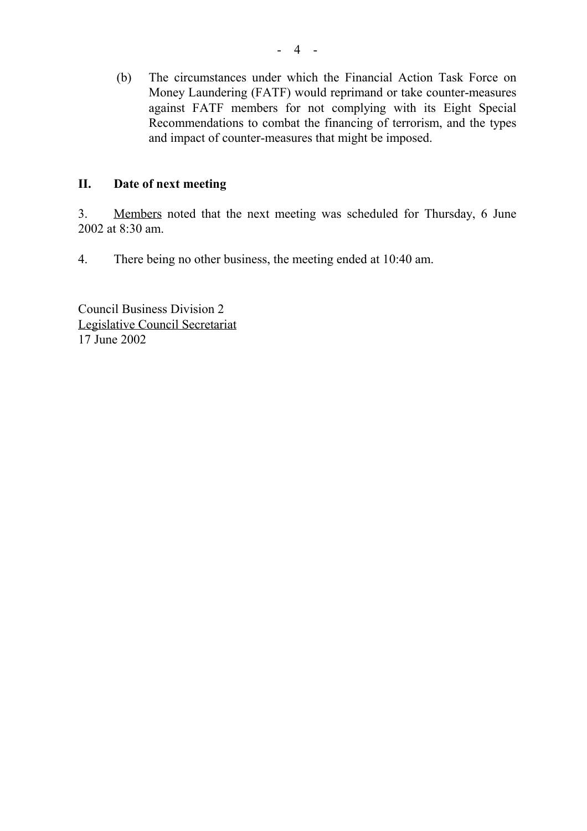(b) The circumstances under which the Financial Action Task Force on Money Laundering (FATF) would reprimand or take counter-measures against FATF members for not complying with its Eight Special Recommendations to combat the financing of terrorism, and the types and impact of counter-measures that might be imposed.

# **II. Date of next meeting**

3. Members noted that the next meeting was scheduled for Thursday, 6 June 2002 at 8:30 am.

4. There being no other business, the meeting ended at 10:40 am.

Council Business Division 2 Legislative Council Secretariat 17 June 2002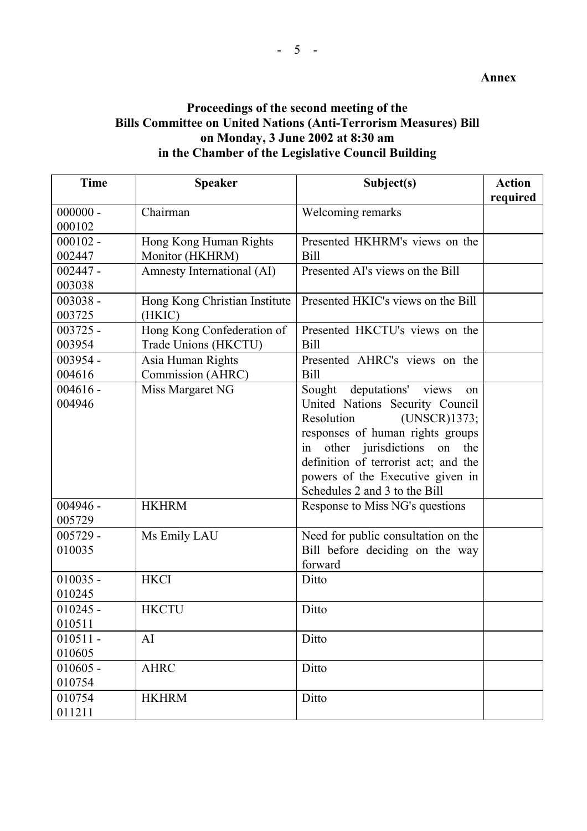# **Proceedings of the second meeting of the Bills Committee on United Nations (Anti-Terrorism Measures) Bill on Monday, 3 June 2002 at 8:30 am in the Chamber of the Legislative Council Building**

| <b>Time</b> | <b>Speaker</b>                | Subject(s)                             | <b>Action</b> |
|-------------|-------------------------------|----------------------------------------|---------------|
|             |                               |                                        | required      |
| $000000 -$  | Chairman                      | Welcoming remarks                      |               |
| 000102      |                               |                                        |               |
| $000102 -$  | Hong Kong Human Rights        | Presented HKHRM's views on the         |               |
| 002447      | Monitor (HKHRM)               | <b>Bill</b>                            |               |
| $002447 -$  | Amnesty International (AI)    | Presented AI's views on the Bill       |               |
| 003038      |                               |                                        |               |
| $003038 -$  | Hong Kong Christian Institute | Presented HKIC's views on the Bill     |               |
| 003725      | (HKIC)                        |                                        |               |
| $003725 -$  | Hong Kong Confederation of    | Presented HKCTU's views on the         |               |
| 003954      | Trade Unions (HKCTU)          | <b>Bill</b>                            |               |
| $003954 -$  | Asia Human Rights             | Presented AHRC's views on the          |               |
| 004616      | Commission (AHRC)             | <b>Bill</b>                            |               |
| $004616 -$  | Miss Margaret NG              | Sought deputations' views<br>on        |               |
| 004946      |                               | United Nations Security Council        |               |
|             |                               | (UNSCR)1373;<br>Resolution             |               |
|             |                               | responses of human rights groups       |               |
|             |                               | other jurisdictions<br>in<br>on<br>the |               |
|             |                               | definition of terrorist act; and the   |               |
|             |                               | powers of the Executive given in       |               |
|             |                               | Schedules 2 and 3 to the Bill          |               |
| $004946 -$  | <b>HKHRM</b>                  | Response to Miss NG's questions        |               |
| 005729      |                               |                                        |               |
| $005729 -$  | Ms Emily LAU                  | Need for public consultation on the    |               |
| 010035      |                               | Bill before deciding on the way        |               |
|             |                               | forward                                |               |
| $010035 -$  | <b>HKCI</b>                   | Ditto                                  |               |
| 010245      |                               |                                        |               |
| $010245 -$  | <b>HKCTU</b>                  | Ditto                                  |               |
| 010511      |                               |                                        |               |
| $010511 -$  | AI                            | Ditto                                  |               |
| 010605      |                               |                                        |               |
| $010605 -$  | <b>AHRC</b>                   | Ditto                                  |               |
| 010754      |                               |                                        |               |
| 010754      | <b>HKHRM</b>                  | Ditto                                  |               |
| 011211      |                               |                                        |               |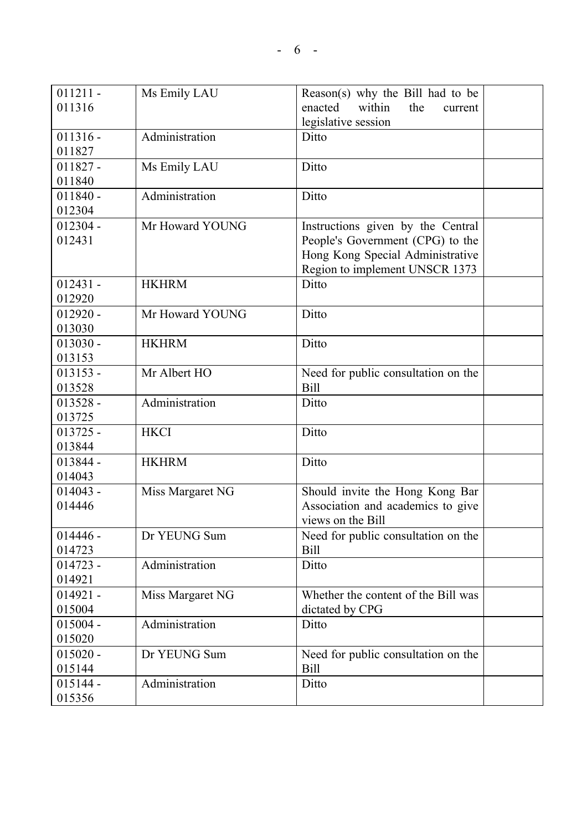| $011211 -$ | Ms Emily LAU     | Reason(s) why the Bill had to be    |  |
|------------|------------------|-------------------------------------|--|
| 011316     |                  | within<br>enacted<br>the<br>current |  |
|            |                  | legislative session                 |  |
| $011316 -$ | Administration   | Ditto                               |  |
| 011827     |                  |                                     |  |
| $011827 -$ | Ms Emily LAU     | Ditto                               |  |
| 011840     |                  |                                     |  |
| $011840 -$ | Administration   | Ditto                               |  |
| 012304     |                  |                                     |  |
| $012304 -$ | Mr Howard YOUNG  | Instructions given by the Central   |  |
| 012431     |                  | People's Government (CPG) to the    |  |
|            |                  | Hong Kong Special Administrative    |  |
|            |                  | Region to implement UNSCR 1373      |  |
| $012431 -$ | <b>HKHRM</b>     | Ditto                               |  |
| 012920     |                  |                                     |  |
| $012920 -$ | Mr Howard YOUNG  | Ditto                               |  |
| 013030     |                  |                                     |  |
| $013030 -$ | <b>HKHRM</b>     | Ditto                               |  |
| 013153     |                  |                                     |  |
| $013153 -$ | Mr Albert HO     | Need for public consultation on the |  |
| 013528     |                  | <b>Bill</b>                         |  |
| $013528 -$ | Administration   | Ditto                               |  |
| 013725     |                  |                                     |  |
| $013725 -$ | <b>HKCI</b>      | Ditto                               |  |
| 013844     |                  |                                     |  |
| 013844 -   | <b>HKHRM</b>     | Ditto                               |  |
| 014043     |                  |                                     |  |
| $014043 -$ | Miss Margaret NG | Should invite the Hong Kong Bar     |  |
| 014446     |                  | Association and academics to give   |  |
|            |                  | views on the Bill                   |  |
| $014446 -$ | Dr YEUNG Sum     | Need for public consultation on the |  |
| 014723     |                  | <b>Bill</b>                         |  |
| $014723 -$ | Administration   | Ditto                               |  |
| 014921     |                  |                                     |  |
| $014921 -$ | Miss Margaret NG | Whether the content of the Bill was |  |
| 015004     |                  | dictated by CPG                     |  |
| $015004 -$ | Administration   | Ditto                               |  |
| 015020     |                  |                                     |  |
| $015020 -$ | Dr YEUNG Sum     | Need for public consultation on the |  |
| 015144     |                  | <b>Bill</b>                         |  |
| $015144 -$ | Administration   | Ditto                               |  |
| 015356     |                  |                                     |  |